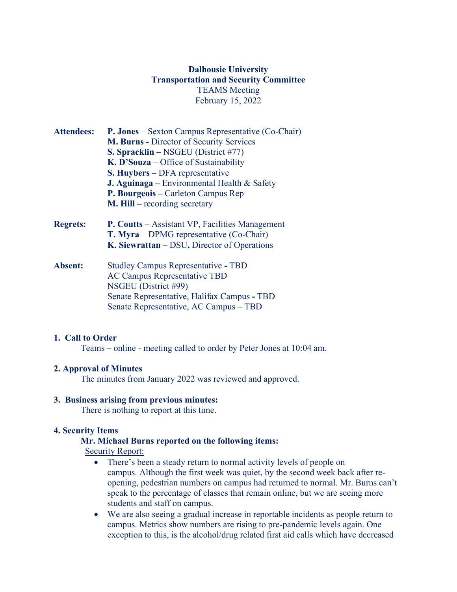# **Dalhousie University Transportation and Security Committee** TEAMS Meeting February 15, 2022

| <b>Attendees:</b> | <b>P. Jones</b> – Sexton Campus Representative (Co-Chair)<br>M. Burns - Director of Security Services<br>S. Spracklin – NSGEU (District #77)<br>$K. D'Souza - Office of Sustainableity$<br><b>S. Huybers</b> – DFA representative<br><b>J. Aguinaga</b> – Environmental Health $\&$ Safety<br>P. Bourgeois – Carleton Campus Rep |
|-------------------|----------------------------------------------------------------------------------------------------------------------------------------------------------------------------------------------------------------------------------------------------------------------------------------------------------------------------------|
|                   | <b>M. Hill</b> – recording secretary                                                                                                                                                                                                                                                                                             |
| <b>Regrets:</b>   | <b>P. Coutts</b> – Assistant VP, Facilities Management<br><b>T. Myra</b> – DPMG representative $(Co-Chair)$<br>K. Siewrattan - DSU, Director of Operations                                                                                                                                                                       |
| Absent:           | <b>Studley Campus Representative - TBD</b><br><b>AC Campus Representative TBD</b><br>NSGEU (District #99)<br>Senate Representative, Halifax Campus - TBD<br>Senate Representative, AC Campus – TBD                                                                                                                               |

#### **1. Call to Order**

Teams – online - meeting called to order by Peter Jones at 10:04 am.

#### **2. Approval of Minutes**

The minutes from January 2022 was reviewed and approved.

# **3. Business arising from previous minutes:**

There is nothing to report at this time.

#### **4. Security Items**

# **Mr. Michael Burns reported on the following items:**

Security Report:

- There's been a steady return to normal activity levels of people on campus. Although the first week was quiet, by the second week back after reopening, pedestrian numbers on campus had returned to normal. Mr. Burns can't speak to the percentage of classes that remain online, but we are seeing more students and staff on campus.
- We are also seeing a gradual increase in reportable incidents as people return to campus. Metrics show numbers are rising to pre-pandemic levels again. One exception to this, is the alcohol/drug related first aid calls which have decreased